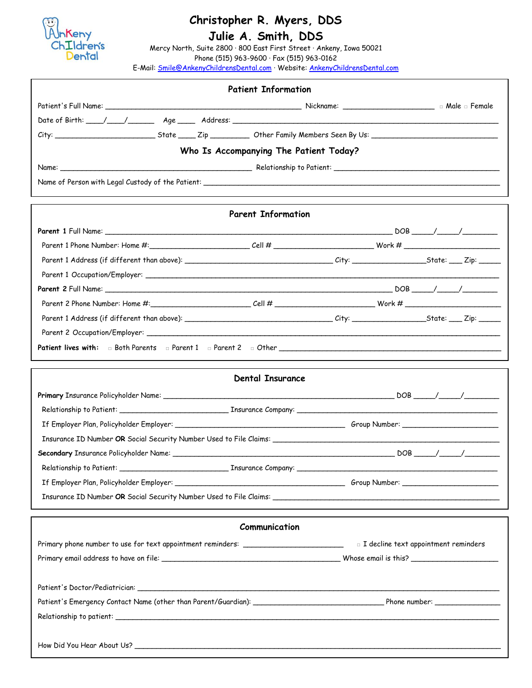

## **Christopher R. Myers, DDS**

## . **Julie A. Smith, DDS**

Mercy North, Suite 2800 ∙ 800 East First Street ∙ Ankeny, Iowa 50021 Phone (515) 963-9600 ∙ Fax (515) 963-0162

E-Mail: [Smile@AnkenyChildrensDental.com](mailto:Smile@AnkenyChildrensDental.com) ∙ Website: AnkenyChildrensDental.com

|                                        | <b>Patient Information</b> |  |  |  |  |  |
|----------------------------------------|----------------------------|--|--|--|--|--|
|                                        |                            |  |  |  |  |  |
|                                        |                            |  |  |  |  |  |
|                                        |                            |  |  |  |  |  |
| Who Is Accompanying The Patient Today? |                            |  |  |  |  |  |
|                                        |                            |  |  |  |  |  |
|                                        |                            |  |  |  |  |  |
|                                        |                            |  |  |  |  |  |
|                                        | <b>Parent Information</b>  |  |  |  |  |  |
|                                        |                            |  |  |  |  |  |
|                                        |                            |  |  |  |  |  |
|                                        |                            |  |  |  |  |  |
|                                        |                            |  |  |  |  |  |
|                                        |                            |  |  |  |  |  |
|                                        |                            |  |  |  |  |  |
|                                        |                            |  |  |  |  |  |
|                                        |                            |  |  |  |  |  |
|                                        |                            |  |  |  |  |  |
|                                        |                            |  |  |  |  |  |
|                                        | <b>Dental Insurance</b>    |  |  |  |  |  |
|                                        |                            |  |  |  |  |  |
|                                        |                            |  |  |  |  |  |
|                                        |                            |  |  |  |  |  |
|                                        |                            |  |  |  |  |  |
|                                        |                            |  |  |  |  |  |
|                                        |                            |  |  |  |  |  |
|                                        |                            |  |  |  |  |  |
|                                        |                            |  |  |  |  |  |
|                                        |                            |  |  |  |  |  |
|                                        | Communication              |  |  |  |  |  |
|                                        |                            |  |  |  |  |  |
|                                        |                            |  |  |  |  |  |
|                                        |                            |  |  |  |  |  |
|                                        |                            |  |  |  |  |  |
|                                        |                            |  |  |  |  |  |
|                                        |                            |  |  |  |  |  |
|                                        |                            |  |  |  |  |  |